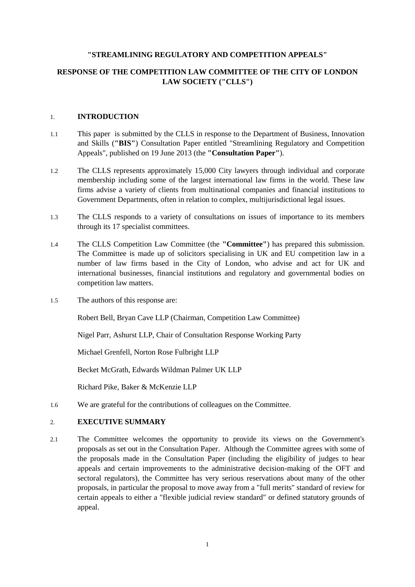#### **"STREAMLINING REGULATORY AND COMPETITION APPEALS"**

#### **RESPONSE OF THE COMPETITION LAW COMMITTEE OF THE CITY OF LONDON LAW SOCIETY ("CLLS")**

#### 1. **INTRODUCTION**

- 1.1 This paper is submitted by the CLLS in response to the Department of Business, Innovation and Skills (**"BIS"**) Consultation Paper entitled "Streamlining Regulatory and Competition Appeals", published on 19 June 2013 (the **"Consultation Paper"**).
- 1.2 The CLLS represents approximately 15,000 City lawyers through individual and corporate membership including some of the largest international law firms in the world. These law firms advise a variety of clients from multinational companies and financial institutions to Government Departments, often in relation to complex, multijurisdictional legal issues.
- 1.3 The CLLS responds to a variety of consultations on issues of importance to its members through its 17 specialist committees.
- 1.4 The CLLS Competition Law Committee (the **"Committee"**) has prepared this submission. The Committee is made up of solicitors specialising in UK and EU competition law in a number of law firms based in the City of London, who advise and act for UK and international businesses, financial institutions and regulatory and governmental bodies on competition law matters.
- 1.5 The authors of this response are:

Robert Bell, Bryan Cave LLP (Chairman, Competition Law Committee)

Nigel Parr, Ashurst LLP, Chair of Consultation Response Working Party

Michael Grenfell, Norton Rose Fulbright LLP

Becket McGrath, Edwards Wildman Palmer UK LLP

Richard Pike, Baker & McKenzie LLP

1.6 We are grateful for the contributions of colleagues on the Committee.

#### 2. **EXECUTIVE SUMMARY**

2.1 The Committee welcomes the opportunity to provide its views on the Government's proposals as set out in the Consultation Paper. Although the Committee agrees with some of the proposals made in the Consultation Paper (including the eligibility of judges to hear appeals and certain improvements to the administrative decision-making of the OFT and sectoral regulators), the Committee has very serious reservations about many of the other proposals, in particular the proposal to move away from a "full merits" standard of review for certain appeals to either a "flexible judicial review standard" or defined statutory grounds of appeal.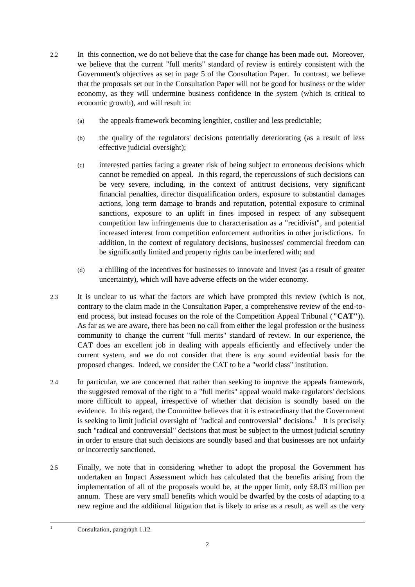- 2.2 In this connection, we do not believe that the case for change has been made out. Moreover, we believe that the current "full merits" standard of review is entirely consistent with the Government's objectives as set in page 5 of the Consultation Paper. In contrast, we believe that the proposals set out in the Consultation Paper will not be good for business or the wider economy, as they will undermine business confidence in the system (which is critical to economic growth), and will result in:
	- (a) the appeals framework becoming lengthier, costlier and less predictable;
	- (b) the quality of the regulators' decisions potentially deteriorating (as a result of less effective judicial oversight);
	- (c) interested parties facing a greater risk of being subject to erroneous decisions which cannot be remedied on appeal. In this regard, the repercussions of such decisions can be very severe, including, in the context of antitrust decisions, very significant financial penalties, director disqualification orders, exposure to substantial damages actions, long term damage to brands and reputation, potential exposure to criminal sanctions, exposure to an uplift in fines imposed in respect of any subsequent competition law infringements due to characterisation as a "recidivist", and potential increased interest from competition enforcement authorities in other jurisdictions. In addition, in the context of regulatory decisions, businesses' commercial freedom can be significantly limited and property rights can be interfered with; and
	- (d) a chilling of the incentives for businesses to innovate and invest (as a result of greater uncertainty), which will have adverse effects on the wider economy.
- 2.3 It is unclear to us what the factors are which have prompted this review (which is not, contrary to the claim made in the Consultation Paper, a comprehensive review of the end-toend process, but instead focuses on the role of the Competition Appeal Tribunal (**"CAT"**)). As far as we are aware, there has been no call from either the legal profession or the business community to change the current "full merits" standard of review. In our experience, the CAT does an excellent job in dealing with appeals efficiently and effectively under the current system, and we do not consider that there is any sound evidential basis for the proposed changes. Indeed, we consider the CAT to be a "world class" institution.
- 2.4 In particular, we are concerned that rather than seeking to improve the appeals framework, the suggested removal of the right to a "full merits" appeal would make regulators' decisions more difficult to appeal, irrespective of whether that decision is soundly based on the evidence. In this regard, the Committee believes that it is extraordinary that the Government is seeking to limit judicial oversight of "radical and controversial" decisions.<sup>1</sup> It is precisely such "radical and controversial" decisions that must be subject to the utmost judicial scrutiny in order to ensure that such decisions are soundly based and that businesses are not unfairly or incorrectly sanctioned.
- 2.5 Finally, we note that in considering whether to adopt the proposal the Government has undertaken an Impact Assessment which has calculated that the benefits arising from the implementation of all of the proposals would be, at the upper limit, only  $\pounds 8.03$  million per annum. These are very small benefits which would be dwarfed by the costs of adapting to a new regime and the additional litigation that is likely to arise as a result, as well as the very

-

Consultation, paragraph 1.12.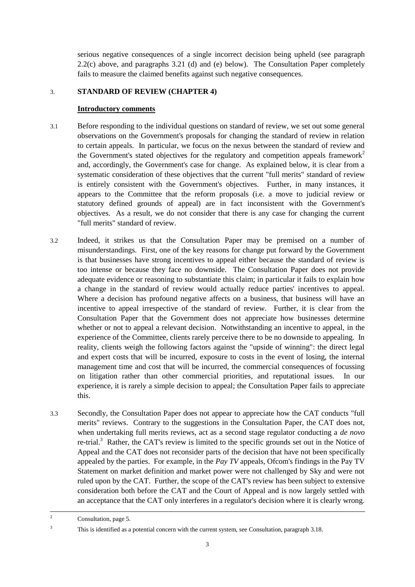serious negative consequences of a single incorrect decision being upheld (see paragraph 2.2(c) above, and paragraphs 3.21 (d) and (e) below). The Consultation Paper completely fails to measure the claimed benefits against such negative consequences.

#### 3. **STANDARD OF REVIEW (CHAPTER 4)**

#### **Introductory comments**

- 3.1 Before responding to the individual questions on standard of review, we set out some general observations on the Government's proposals for changing the standard of review in relation to certain appeals. In particular, we focus on the nexus between the standard of review and the Government's stated objectives for the regulatory and competition appeals framework<sup>2</sup> and, accordingly, the Government's case for change. As explained below, it is clear from a systematic consideration of these objectives that the current "full merits" standard of review is entirely consistent with the Government's objectives. Further, in many instances, it appears to the Committee that the reform proposals (i.e. a move to judicial review or statutory defined grounds of appeal) are in fact inconsistent with the Government's objectives. As a result, we do not consider that there is any case for changing the current "full merits" standard of review.
- 3.2 Indeed, it strikes us that the Consultation Paper may be premised on a number of misunderstandings. First, one of the key reasons for change put forward by the Government is that businesses have strong incentives to appeal either because the standard of review is too intense or because they face no downside. The Consultation Paper does not provide adequate evidence or reasoning to substantiate this claim; in particular it fails to explain how a change in the standard of review would actually reduce parties' incentives to appeal. Where a decision has profound negative affects on a business, that business will have an incentive to appeal irrespective of the standard of review. Further, it is clear from the Consultation Paper that the Government does not appreciate how businesses determine whether or not to appeal a relevant decision. Notwithstanding an incentive to appeal, in the experience of the Committee, clients rarely perceive there to be no downside to appealing. In reality, clients weigh the following factors against the "upside of winning": the direct legal and expert costs that will be incurred, exposure to costs in the event of losing, the internal management time and cost that will be incurred, the commercial consequences of focussing on litigation rather than other commercial priorities, and reputational issues. In our experience, it is rarely a simple decision to appeal; the Consultation Paper fails to appreciate this.
- 3.3 Secondly, the Consultation Paper does not appear to appreciate how the CAT conducts "full merits" reviews. Contrary to the suggestions in the Consultation Paper, the CAT does not, when undertaking full merits reviews, act as a second stage regulator conducting a *de novo* re-trial.<sup>3</sup> Rather, the CAT's review is limited to the specific grounds set out in the Notice of Appeal and the CAT does not reconsider parts of the decision that have not been specifically appealed by the parties. For example, in the *Pay TV* appeals, Ofcom's findings in the Pay TV Statement on market definition and market power were not challenged by Sky and were not ruled upon by the CAT. Further, the scope of the CAT's review has been subject to extensive consideration both before the CAT and the Court of Appeal and is now largely settled with an acceptance that the CAT only interferes in a regulator's decision where it is clearly wrong.

 $\overline{c}$ <sup>2</sup> Consultation, page 5.

<sup>&</sup>lt;sup>3</sup> This is identified as a potential concern with the current system, see Consultation, paragraph 3.18.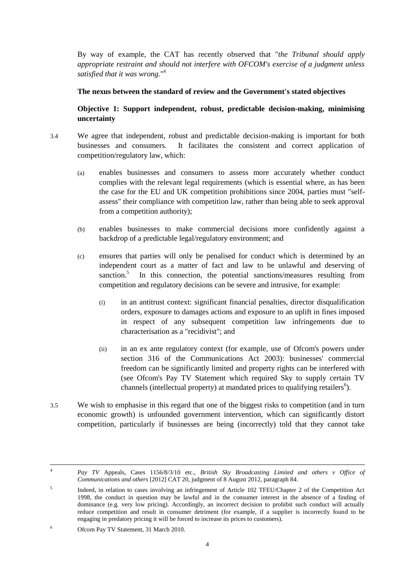By way of example, the CAT has recently observed that "*the Tribunal should apply appropriate restraint and should not interfere with OFCOM's exercise of a judgment unless satisfied that it was wrong.*" 4

#### **The nexus between the standard of review and the Government's stated objectives**

**Objective 1: Support independent, robust, predictable decision-making, minimising uncertainty**

- 3.4 We agree that independent, robust and predictable decision-making is important for both businesses and consumers. It facilitates the consistent and correct application of competition/regulatory law, which:
	- (a) enables businesses and consumers to assess more accurately whether conduct complies with the relevant legal requirements (which is essential where, as has been the case for the EU and UK competition prohibitions since 2004, parties must "selfassess" their compliance with competition law, rather than being able to seek approval from a competition authority);
	- (b) enables businesses to make commercial decisions more confidently against a backdrop of a predictable legal/regulatory environment; and
	- (c) ensures that parties will only be penalised for conduct which is determined by an independent court as a matter of fact and law to be unlawful and deserving of sanction.<sup>5</sup> In this connection, the potential sanctions/measures resulting from competition and regulatory decisions can be severe and intrusive, for example:
		- (i) in an antitrust context: significant financial penalties, director disqualification orders, exposure to damages actions and exposure to an uplift in fines imposed in respect of any subsequent competition law infringements due to characterisation as a "recidivist"; and
		- (ii) in an ex ante regulatory context (for example, use of Ofcom's powers under section 316 of the Communications Act 2003): businesses' commercial freedom can be significantly limited and property rights can be interfered with (see Ofcom's Pay TV Statement which required Sky to supply certain TV channels (intellectual property) at mandated prices to qualifying retailers<sup>6</sup>).
- 3.5 We wish to emphasise in this regard that one of the biggest risks to competition (and in turn economic growth) is unfounded government intervention, which can significantly distort competition, particularly if businesses are being (incorrectly) told that they cannot take

 $\overline{4}$ <sup>4</sup> *Pay TV* Appeals, Cases 1156/8/3/10 etc., *British Sky Broadcasting Limited and others v Office of Communications and others* [2012] CAT 20, judgment of 8 August 2012, paragraph 84.

<sup>5</sup> Indeed, in relation to cases involving an infringement of Article 102 TFEU/Chapter 2 of the Competition Act 1998, the conduct in question may be lawful and in the consumer interest in the absence of a finding of dominance (e.g. very low pricing). Accordingly, an incorrect decision to prohibit such conduct will actually reduce competition and result in consumer detriment (for example, if a supplier is incorrectly found to be engaging in predatory pricing it will be forced to increase its prices to customers).

<sup>6</sup> Ofcom Pay TV Statement, 31 March 2010.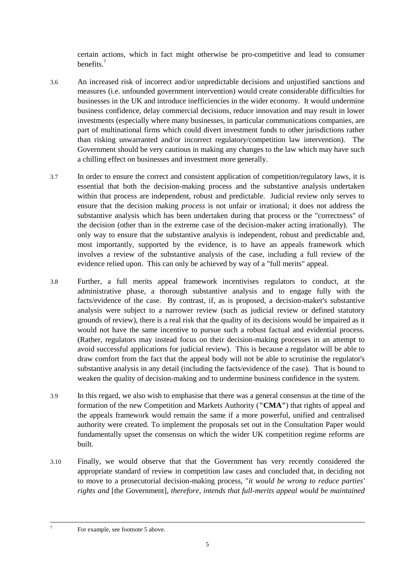certain actions, which in fact might otherwise be pro-competitive and lead to consumer benefits.<sup>7</sup>

- 3.6 An increased risk of incorrect and/or unpredictable decisions and unjustified sanctions and measures (i.e. unfounded government intervention) would create considerable difficulties for businesses in the UK and introduce inefficiencies in the wider economy. It would undermine business confidence, delay commercial decisions, reduce innovation and may result in lower investments (especially where many businesses, in particular communications companies, are part of multinational firms which could divert investment funds to other jurisdictions rather than risking unwarranted and/or incorrect regulatory/competition law intervention). The Government should be very cautious in making any changes to the law which may have such a chilling effect on businesses and investment more generally.
- 3.7 In order to ensure the correct and consistent application of competition/regulatory laws, it is essential that both the decision-making process and the substantive analysis undertaken within that process are independent, robust and predictable. Judicial review only serves to ensure that the decision making *process* is not unfair or irrational; it does not address the substantive analysis which has been undertaken during that process or the "correctness" of the decision (other than in the extreme case of the decision-maker acting irrationally). The only way to ensure that the substantive analysis is independent, robust and predictable and, most importantly, supported by the evidence, is to have an appeals framework which involves a review of the substantive analysis of the case, including a full review of the evidence relied upon. This can only be achieved by way of a "full merits" appeal.
- 3.8 Further, a full merits appeal framework incentivises regulators to conduct, at the administrative phase, a thorough substantive analysis and to engage fully with the facts/evidence of the case. By contrast, if, as is proposed, a decision-maker's substantive analysis were subject to a narrower review (such as judicial review or defined statutory grounds of review), there is a real risk that the quality of its decisions would be impaired as it would not have the same incentive to pursue such a robust factual and evidential process. (Rather, regulators may instead focus on their decision-making processes in an attempt to avoid successful applications for judicial review). This is because a regulator will be able to draw comfort from the fact that the appeal body will not be able to scrutinise the regulator's substantive analysis in any detail (including the facts/evidence of the case). That is bound to weaken the quality of decision-making and to undermine business confidence in the system.
- 3.9 In this regard, we also wish to emphasise that there was a general consensus at the time of the formation of the new Competition and Markets Authority (**"CMA"**) that rights of appeal and the appeals framework would remain the same if a more powerful, unified and centralised authority were created. To implement the proposals set out in the Consultation Paper would fundamentally upset the consensus on which the wider UK competition regime reforms are built.
- 3.10 Finally, we would observe that that the Government has very recently considered the appropriate standard of review in competition law cases and concluded that, in deciding not to move to a prosecutorial decision-making process, "*it would be wrong to reduce parties' rights and* [the Government]*, therefore, intends that full-merits appeal would be maintained*

-7

For example, see footnote 5 above.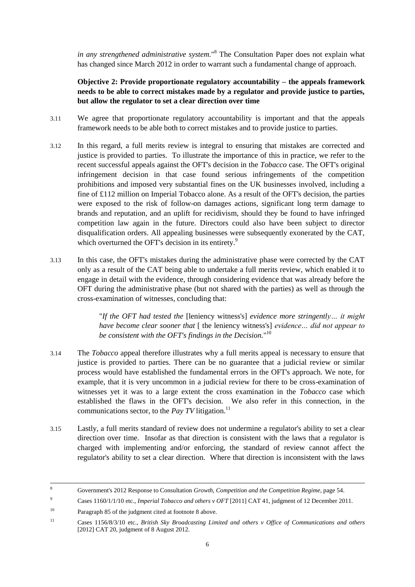*in any strengthened administrative system.*" <sup>8</sup> The Consultation Paper does not explain what has changed since March 2012 in order to warrant such a fundamental change of approach.

# **Objective 2: Provide proportionate regulatory accountability – the appeals framework needs to be able to correct mistakes made by a regulator and provide justice to parties, but allow the regulator to set a clear direction over time**

- 3.11 We agree that proportionate regulatory accountability is important and that the appeals framework needs to be able both to correct mistakes and to provide justice to parties.
- 3.12 In this regard, a full merits review is integral to ensuring that mistakes are corrected and justice is provided to parties. To illustrate the importance of this in practice, we refer to the recent successful appeals against the OFT's decision in the *Tobacco* case. The OFT's original infringement decision in that case found serious infringements of the competition prohibitions and imposed very substantial fines on the UK businesses involved, including a fine of £112 million on Imperial Tobacco alone. As a result of the OFT's decision, the parties were exposed to the risk of follow-on damages actions, significant long term damage to brands and reputation, and an uplift for recidivism, should they be found to have infringed competition law again in the future. Directors could also have been subject to director disqualification orders. All appealing businesses were subsequently exonerated by the CAT, which overturned the OFT's decision in its entirety.<sup>9</sup>
- 3.13 In this case, the OFT's mistakes during the administrative phase were corrected by the CAT only as a result of the CAT being able to undertake a full merits review, which enabled it to engage in detail with the evidence, through considering evidence that was already before the OFT during the administrative phase (but not shared with the parties) as well as through the cross-examination of witnesses, concluding that:

"*If the OFT had tested the* [leniency witness's] *evidence more stringently… it might have become clear sooner that* [ the leniency witness's] *evidence… did not appear to be consistent with the OFT's findings in the Decision.*" 10

- 3.14 The *Tobacco* appeal therefore illustrates why a full merits appeal is necessary to ensure that justice is provided to parties. There can be no guarantee that a judicial review or similar process would have established the fundamental errors in the OFT's approach. We note, for example, that it is very uncommon in a judicial review for there to be cross-examination of witnesses yet it was to a large extent the cross examination in the *Tobacco* case which established the flaws in the OFT's decision. We also refer in this connection, in the communications sector, to the *Pay TV* litigation.<sup>11</sup>
- 3.15 Lastly, a full merits standard of review does not undermine a regulator's ability to set a clear direction over time. Insofar as that direction is consistent with the laws that a regulator is charged with implementing and/or enforcing, the standard of review cannot affect the regulator's ability to set a clear direction. Where that direction is inconsistent with the laws

-

<sup>8</sup> Government's 2012 Response to Consultation *Growth, Competition and the Competition Regime*, page 54.

<sup>9</sup> Cases 1160/1/1/10 etc., *Imperial Tobacco and others v OFT* [2011] CAT 41, judgment of 12 December 2011.

<sup>10</sup> Paragraph 85 of the judgment cited at footnote 8 above.

<sup>11</sup> Cases 1156/8/3/10 etc., *British Sky Broadcasting Limited and others v Office of Communications and others* [2012] CAT 20, judgment of 8 August 2012.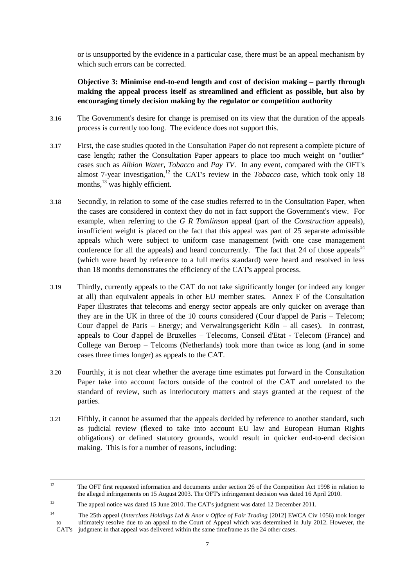or is unsupported by the evidence in a particular case, there must be an appeal mechanism by which such errors can be corrected.

**Objective 3: Minimise end-to-end length and cost of decision making – partly through making the appeal process itself as streamlined and efficient as possible, but also by encouraging timely decision making by the regulator or competition authority**

- 3.16 The Government's desire for change is premised on its view that the duration of the appeals process is currently too long. The evidence does not support this.
- 3.17 First, the case studies quoted in the Consultation Paper do not represent a complete picture of case length; rather the Consultation Paper appears to place too much weight on "outlier" cases such as *Albion Water, Tobacco* and *Pay TV*. In any event, compared with the OFT's almost 7-year investigation,<sup>12</sup> the CAT's review in the *Tobacco* case, which took only 18 months,<sup>13</sup> was highly efficient.
- 3.18 Secondly, in relation to some of the case studies referred to in the Consultation Paper, when the cases are considered in context they do not in fact support the Government's view. For example, when referring to the *G R Tomlinson* appeal (part of the *Construction* appeals), insufficient weight is placed on the fact that this appeal was part of 25 separate admissible appeals which were subject to uniform case management (with one case management conference for all the appeals) and heard concurrently. The fact that 24 of those appeals $14$ (which were heard by reference to a full merits standard) were heard and resolved in less than 18 months demonstrates the efficiency of the CAT's appeal process.
- 3.19 Thirdly, currently appeals to the CAT do not take significantly longer (or indeed any longer at all) than equivalent appeals in other EU member states. Annex F of the Consultation Paper illustrates that telecoms and energy sector appeals are only quicker on average than they are in the UK in three of the 10 courts considered (Cour d'appel de Paris – Telecom; Cour d'appel de Paris – Energy; and Verwaltungsgericht Köln – all cases). In contrast, appeals to Cour d'appel de Bruxelles – Telecoms, Conseil d'Etat - Telecom (France) and College van Beroep – Telcoms (Netherlands) took more than twice as long (and in some cases three times longer) as appeals to the CAT.
- 3.20 Fourthly, it is not clear whether the average time estimates put forward in the Consultation Paper take into account factors outside of the control of the CAT and unrelated to the standard of review, such as interlocutory matters and stays granted at the request of the parties.
- 3.21 Fifthly, it cannot be assumed that the appeals decided by reference to another standard, such as judicial review (flexed to take into account EU law and European Human Rights obligations) or defined statutory grounds, would result in quicker end-to-end decision making. This is for a number of reasons, including:

<sup>12</sup> <sup>12</sup> The OFT first requested information and documents under section 26 of the Competition Act 1998 in relation to the alleged infringements on 15 August 2003. The OFT's infringement decision was dated 16 April 2010.

<sup>&</sup>lt;sup>13</sup> The appeal notice was dated 15 June 2010. The CAT's judgment was dated 12 December 2011.

<sup>14</sup> The 25th appeal (*Interclass Holdings Ltd & Anor v Office of Fair Trading* [2012] EWCA Civ 1056) took longer to ultimately resolve due to an appeal to the Court of Appeal which was determined in July 2012. However, the CAT's judgment in that appeal was delivered within the same timeframe as the 24 other cases.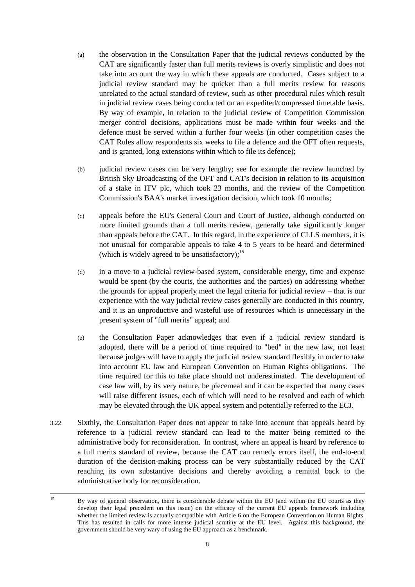- (a) the observation in the Consultation Paper that the judicial reviews conducted by the CAT are significantly faster than full merits reviews is overly simplistic and does not take into account the way in which these appeals are conducted. Cases subject to a judicial review standard may be quicker than a full merits review for reasons unrelated to the actual standard of review, such as other procedural rules which result in judicial review cases being conducted on an expedited/compressed timetable basis. By way of example, in relation to the judicial review of Competition Commission merger control decisions, applications must be made within four weeks and the defence must be served within a further four weeks (in other competition cases the CAT Rules allow respondents six weeks to file a defence and the OFT often requests, and is granted, long extensions within which to file its defence);
- (b) judicial review cases can be very lengthy; see for example the review launched by British Sky Broadcasting of the OFT and CAT's decision in relation to its acquisition of a stake in ITV plc, which took 23 months, and the review of the Competition Commission's BAA's market investigation decision, which took 10 months;
- (c) appeals before the EU's General Court and Court of Justice, although conducted on more limited grounds than a full merits review, generally take significantly longer than appeals before the CAT. In this regard, in the experience of CLLS members, it is not unusual for comparable appeals to take 4 to 5 years to be heard and determined (which is widely agreed to be unsatisfactory);<sup>15</sup>
- (d) in a move to a judicial review-based system, considerable energy, time and expense would be spent (by the courts, the authorities and the parties) on addressing whether the grounds for appeal properly meet the legal criteria for judicial review – that is our experience with the way judicial review cases generally are conducted in this country, and it is an unproductive and wasteful use of resources which is unnecessary in the present system of "full merits" appeal; and
- (e) the Consultation Paper acknowledges that even if a judicial review standard is adopted, there will be a period of time required to "bed" in the new law, not least because judges will have to apply the judicial review standard flexibly in order to take into account EU law and European Convention on Human Rights obligations. The time required for this to take place should not underestimated. The development of case law will, by its very nature, be piecemeal and it can be expected that many cases will raise different issues, each of which will need to be resolved and each of which may be elevated through the UK appeal system and potentially referred to the ECJ.
- 3.22 Sixthly, the Consultation Paper does not appear to take into account that appeals heard by reference to a judicial review standard can lead to the matter being remitted to the administrative body for reconsideration. In contrast, where an appeal is heard by reference to a full merits standard of review, because the CAT can remedy errors itself, the end-to-end duration of the decision-making process can be very substantially reduced by the CAT reaching its own substantive decisions and thereby avoiding a remittal back to the administrative body for reconsideration.

 $15$ <sup>15</sup> By way of general observation, there is considerable debate within the EU (and within the EU courts as they develop their legal precedent on this issue) on the efficacy of the current EU appeals framework including whether the limited review is actually compatible with Article 6 on the European Convention on Human Rights. This has resulted in calls for more intense judicial scrutiny at the EU level. Against this background, the government should be very wary of using the EU approach as a benchmark.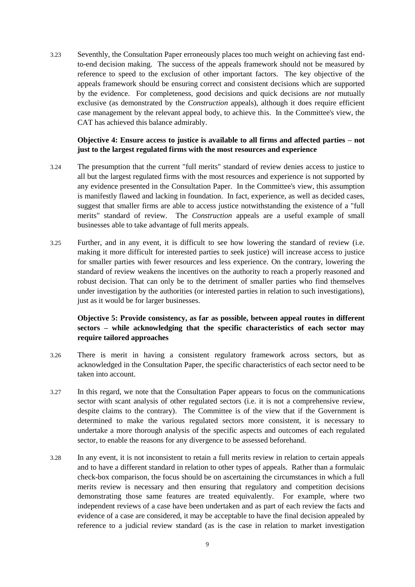3.23 Seventhly, the Consultation Paper erroneously places too much weight on achieving fast endto-end decision making. The success of the appeals framework should not be measured by reference to speed to the exclusion of other important factors. The key objective of the appeals framework should be ensuring correct and consistent decisions which are supported by the evidence. For completeness, good decisions and quick decisions are *not* mutually exclusive (as demonstrated by the *Construction* appeals), although it does require efficient case management by the relevant appeal body, to achieve this. In the Committee's view, the CAT has achieved this balance admirably.

#### **Objective 4: Ensure access to justice is available to all firms and affected parties – not just to the largest regulated firms with the most resources and experience**

- 3.24 The presumption that the current "full merits" standard of review denies access to justice to all but the largest regulated firms with the most resources and experience is not supported by any evidence presented in the Consultation Paper. In the Committee's view, this assumption is manifestly flawed and lacking in foundation. In fact, experience, as well as decided cases, suggest that smaller firms are able to access justice notwithstanding the existence of a "full merits" standard of review. The *Construction* appeals are a useful example of small businesses able to take advantage of full merits appeals.
- 3.25 Further, and in any event, it is difficult to see how lowering the standard of review (i.e. making it more difficult for interested parties to seek justice) will increase access to justice for smaller parties with fewer resources and less experience. On the contrary, lowering the standard of review weakens the incentives on the authority to reach a properly reasoned and robust decision. That can only be to the detriment of smaller parties who find themselves under investigation by the authorities (or interested parties in relation to such investigations), just as it would be for larger businesses.

## **Objective 5: Provide consistency, as far as possible, between appeal routes in different sectors – while acknowledging that the specific characteristics of each sector may require tailored approaches**

- 3.26 There is merit in having a consistent regulatory framework across sectors, but as acknowledged in the Consultation Paper, the specific characteristics of each sector need to be taken into account.
- 3.27 In this regard, we note that the Consultation Paper appears to focus on the communications sector with scant analysis of other regulated sectors (i.e. it is not a comprehensive review, despite claims to the contrary). The Committee is of the view that if the Government is determined to make the various regulated sectors more consistent, it is necessary to undertake a more thorough analysis of the specific aspects and outcomes of each regulated sector, to enable the reasons for any divergence to be assessed beforehand.
- 3.28 In any event, it is not inconsistent to retain a full merits review in relation to certain appeals and to have a different standard in relation to other types of appeals. Rather than a formulaic check-box comparison, the focus should be on ascertaining the circumstances in which a full merits review is necessary and then ensuring that regulatory and competition decisions demonstrating those same features are treated equivalently. For example, where two independent reviews of a case have been undertaken and as part of each review the facts and evidence of a case are considered, it may be acceptable to have the final decision appealed by reference to a judicial review standard (as is the case in relation to market investigation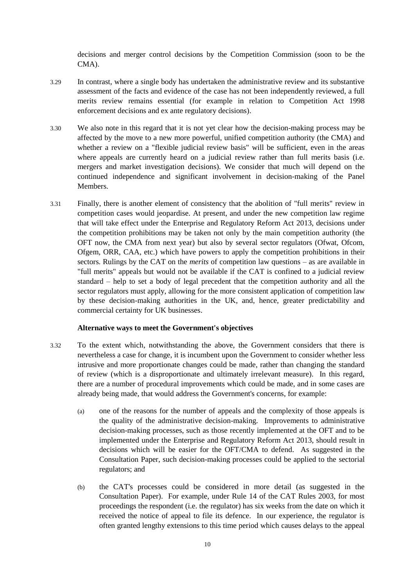decisions and merger control decisions by the Competition Commission (soon to be the CMA).

- 3.29 In contrast, where a single body has undertaken the administrative review and its substantive assessment of the facts and evidence of the case has not been independently reviewed, a full merits review remains essential (for example in relation to Competition Act 1998 enforcement decisions and ex ante regulatory decisions).
- 3.30 We also note in this regard that it is not yet clear how the decision-making process may be affected by the move to a new more powerful, unified competition authority (the CMA) and whether a review on a "flexible judicial review basis" will be sufficient, even in the areas where appeals are currently heard on a judicial review rather than full merits basis (i.e. mergers and market investigation decisions). We consider that much will depend on the continued independence and significant involvement in decision-making of the Panel Members.
- 3.31 Finally, there is another element of consistency that the abolition of "full merits" review in competition cases would jeopardise. At present, and under the new competition law regime that will take effect under the Enterprise and Regulatory Reform Act 2013, decisions under the competition prohibitions may be taken not only by the main competition authority (the OFT now, the CMA from next year) but also by several sector regulators (Ofwat, Ofcom, Ofgem, ORR, CAA, etc.) which have powers to apply the competition prohibitions in their sectors. Rulings by the CAT on the *merits* of competition law questions – as are available in "full merits" appeals but would not be available if the CAT is confined to a judicial review standard – help to set a body of legal precedent that the competition authority and all the sector regulators must apply, allowing for the more consistent application of competition law by these decision-making authorities in the UK, and, hence, greater predictability and commercial certainty for UK businesses.

#### **Alternative ways to meet the Government's objectives**

- 3.32 To the extent which, notwithstanding the above, the Government considers that there is nevertheless a case for change, it is incumbent upon the Government to consider whether less intrusive and more proportionate changes could be made, rather than changing the standard of review (which is a disproportionate and ultimately irrelevant measure). In this regard, there are a number of procedural improvements which could be made, and in some cases are already being made, that would address the Government's concerns, for example:
	- (a) one of the reasons for the number of appeals and the complexity of those appeals is the quality of the administrative decision-making. Improvements to administrative decision-making processes, such as those recently implemented at the OFT and to be implemented under the Enterprise and Regulatory Reform Act 2013, should result in decisions which will be easier for the OFT/CMA to defend. As suggested in the Consultation Paper, such decision-making processes could be applied to the sectorial regulators; and
	- (b) the CAT's processes could be considered in more detail (as suggested in the Consultation Paper). For example, under Rule 14 of the CAT Rules 2003, for most proceedings the respondent (i.e. the regulator) has six weeks from the date on which it received the notice of appeal to file its defence. In our experience, the regulator is often granted lengthy extensions to this time period which causes delays to the appeal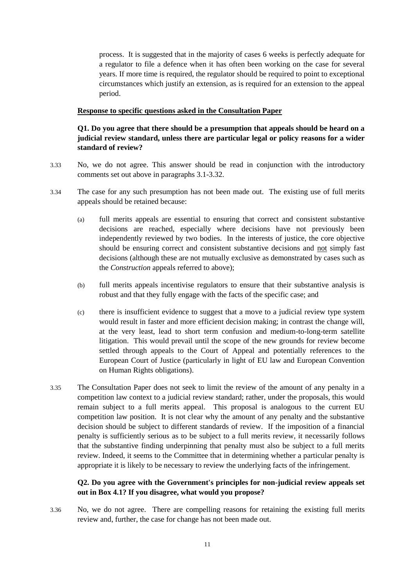process. It is suggested that in the majority of cases 6 weeks is perfectly adequate for a regulator to file a defence when it has often been working on the case for several years. If more time is required, the regulator should be required to point to exceptional circumstances which justify an extension, as is required for an extension to the appeal period.

#### **Response to specific questions asked in the Consultation Paper**

## **Q1. Do you agree that there should be a presumption that appeals should be heard on a judicial review standard, unless there are particular legal or policy reasons for a wider standard of review?**

- 3.33 No, we do not agree. This answer should be read in conjunction with the introductory comments set out above in paragraphs 3.1-3.32.
- 3.34 The case for any such presumption has not been made out. The existing use of full merits appeals should be retained because:
	- (a) full merits appeals are essential to ensuring that correct and consistent substantive decisions are reached, especially where decisions have not previously been independently reviewed by two bodies. In the interests of justice, the core objective should be ensuring correct and consistent substantive decisions and not simply fast decisions (although these are not mutually exclusive as demonstrated by cases such as the *Construction* appeals referred to above);
	- (b) full merits appeals incentivise regulators to ensure that their substantive analysis is robust and that they fully engage with the facts of the specific case; and
	- (c) there is insufficient evidence to suggest that a move to a judicial review type system would result in faster and more efficient decision making; in contrast the change will, at the very least, lead to short term confusion and medium-to-long-term satellite litigation. This would prevail until the scope of the new grounds for review become settled through appeals to the Court of Appeal and potentially references to the European Court of Justice (particularly in light of EU law and European Convention on Human Rights obligations).
- 3.35 The Consultation Paper does not seek to limit the review of the amount of any penalty in a competition law context to a judicial review standard; rather, under the proposals, this would remain subject to a full merits appeal. This proposal is analogous to the current EU competition law position. It is not clear why the amount of any penalty and the substantive decision should be subject to different standards of review. If the imposition of a financial penalty is sufficiently serious as to be subject to a full merits review, it necessarily follows that the substantive finding underpinning that penalty must also be subject to a full merits review. Indeed, it seems to the Committee that in determining whether a particular penalty is appropriate it is likely to be necessary to review the underlying facts of the infringement.

## **Q2. Do you agree with the Government's principles for non-judicial review appeals set out in Box 4.1? If you disagree, what would you propose?**

3.36 No, we do not agree. There are compelling reasons for retaining the existing full merits review and, further, the case for change has not been made out.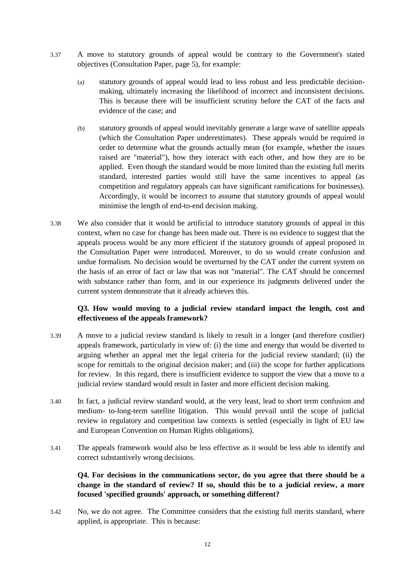- 3.37 A move to statutory grounds of appeal would be contrary to the Government's stated objectives (Consultation Paper, page 5), for example:
	- (a) statutory grounds of appeal would lead to less robust and less predictable decisionmaking, ultimately increasing the likelihood of incorrect and inconsistent decisions. This is because there will be insufficient scrutiny before the CAT of the facts and evidence of the case; and
	- (b) statutory grounds of appeal would inevitably generate a large wave of satellite appeals (which the Consultation Paper underestimates). These appeals would be required in order to determine what the grounds actually mean (for example, whether the issues raised are "material"), how they interact with each other, and how they are to be applied. Even though the standard would be more limited than the existing full merits standard, interested parties would still have the same incentives to appeal (as competition and regulatory appeals can have significant ramifications for businesses). Accordingly, it would be incorrect to assume that statutory grounds of appeal would minimise the length of end-to-end decision making.
- 3.38 We also consider that it would be artificial to introduce statutory grounds of appeal in this context, when no case for change has been made out. There is no evidence to suggest that the appeals process would be any more efficient if the statutory grounds of appeal proposed in the Consultation Paper were introduced. Moreover, to do so would create confusion and undue formalism. No decision would be overturned by the CAT under the current system on the basis of an error of fact or law that was not "material". The CAT should be concerned with substance rather than form, and in our experience its judgments delivered under the current system demonstrate that it already achieves this.

## **Q3. How would moving to a judicial review standard impact the length, cost and effectiveness of the appeals framework?**

- 3.39 A move to a judicial review standard is likely to result in a longer (and therefore costlier) appeals framework, particularly in view of: (i) the time and energy that would be diverted to arguing whether an appeal met the legal criteria for the judicial review standard; (ii) the scope for remittals to the original decision maker; and (iii) the scope for further applications for review. In this regard, there is insufficient evidence to support the view that a move to a judicial review standard would result in faster and more efficient decision making.
- 3.40 In fact, a judicial review standard would, at the very least, lead to short term confusion and medium- to-long-term satellite litigation. This would prevail until the scope of judicial review in regulatory and competition law contexts is settled (especially in light of EU law and European Convention on Human Rights obligations).
- 3.41 The appeals framework would also be less effective as it would be less able to identify and correct substantively wrong decisions.

## **Q4. For decisions in the communications sector, do you agree that there should be a change in the standard of review? If so, should this be to a judicial review, a more focused 'specified grounds' approach, or something different?**

3.42 No, we do not agree. The Committee considers that the existing full merits standard, where applied, is appropriate. This is because: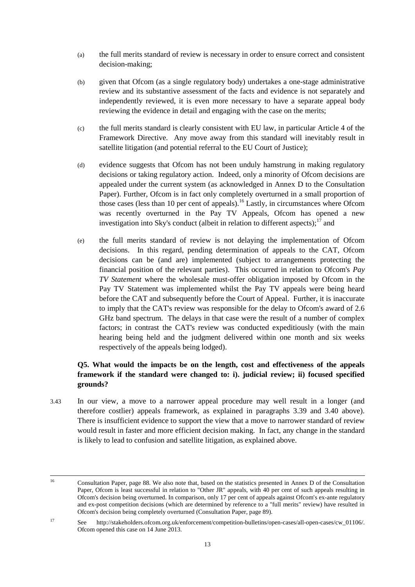- (a) the full merits standard of review is necessary in order to ensure correct and consistent decision-making;
- (b) given that Ofcom (as a single regulatory body) undertakes a one-stage administrative review and its substantive assessment of the facts and evidence is not separately and independently reviewed, it is even more necessary to have a separate appeal body reviewing the evidence in detail and engaging with the case on the merits;
- (c) the full merits standard is clearly consistent with EU law, in particular Article 4 of the Framework Directive. Any move away from this standard will inevitably result in satellite litigation (and potential referral to the EU Court of Justice);
- (d) evidence suggests that Ofcom has not been unduly hamstrung in making regulatory decisions or taking regulatory action. Indeed, only a minority of Ofcom decisions are appealed under the current system (as acknowledged in Annex D to the Consultation Paper). Further, Ofcom is in fact only completely overturned in a small proportion of those cases (less than 10 per cent of appeals).<sup>16</sup> Lastly, in circumstances where Ofcom was recently overturned in the Pay TV Appeals, Ofcom has opened a new investigation into Sky's conduct (albeit in relation to different aspects);<sup>17</sup> and
- (e) the full merits standard of review is not delaying the implementation of Ofcom decisions. In this regard, pending determination of appeals to the CAT, Ofcom decisions can be (and are) implemented (subject to arrangements protecting the financial position of the relevant parties). This occurred in relation to Ofcom's *Pay TV Statement* where the wholesale must-offer obligation imposed by Ofcom in the Pay TV Statement was implemented whilst the Pay TV appeals were being heard before the CAT and subsequently before the Court of Appeal. Further, it is inaccurate to imply that the CAT's review was responsible for the delay to Ofcom's award of 2.6 GHz band spectrum. The delays in that case were the result of a number of complex factors; in contrast the CAT's review was conducted expeditiously (with the main hearing being held and the judgment delivered within one month and six weeks respectively of the appeals being lodged).

## **Q5. What would the impacts be on the length, cost and effectiveness of the appeals framework if the standard were changed to: i). judicial review; ii) focused specified grounds?**

3.43 In our view, a move to a narrower appeal procedure may well result in a longer (and therefore costlier) appeals framework, as explained in paragraphs 3.39 and 3.40 above). There is insufficient evidence to support the view that a move to narrower standard of review would result in faster and more efficient decision making. In fact, any change in the standard is likely to lead to confusion and satellite litigation, as explained above.

<sup>16</sup> <sup>16</sup> Consultation Paper, page 88. We also note that, based on the statistics presented in Annex D of the Consultation Paper, Ofcom is least successful in relation to "Other JR" appeals, with 40 per cent of such appeals resulting in Ofcom's decision being overturned. In comparison, only 17 per cent of appeals against Ofcom's ex-ante regulatory and ex-post competition decisions (which are determined by reference to a "full merits" review) have resulted in Ofcom's decision being completely overturned (Consultation Paper, page 89).

<sup>17</sup> See http://stakeholders.ofcom.org.uk/enforcement/competition-bulletins/open-cases/all-open-cases/cw\_01106/. Ofcom opened this case on 14 June 2013.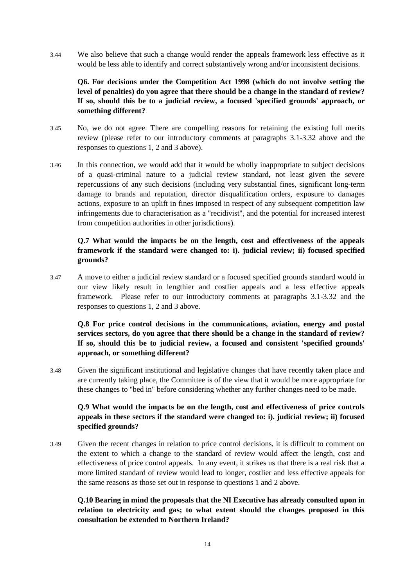3.44 We also believe that such a change would render the appeals framework less effective as it would be less able to identify and correct substantively wrong and/or inconsistent decisions.

# **Q6. For decisions under the Competition Act 1998 (which do not involve setting the level of penalties) do you agree that there should be a change in the standard of review? If so, should this be to a judicial review, a focused 'specified grounds' approach, or something different?**

- 3.45 No, we do not agree. There are compelling reasons for retaining the existing full merits review (please refer to our introductory comments at paragraphs 3.1-3.32 above and the responses to questions 1, 2 and 3 above).
- 3.46 In this connection, we would add that it would be wholly inappropriate to subject decisions of a quasi-criminal nature to a judicial review standard, not least given the severe repercussions of any such decisions (including very substantial fines, significant long-term damage to brands and reputation, director disqualification orders, exposure to damages actions, exposure to an uplift in fines imposed in respect of any subsequent competition law infringements due to characterisation as a "recidivist", and the potential for increased interest from competition authorities in other jurisdictions).

## **Q.7 What would the impacts be on the length, cost and effectiveness of the appeals framework if the standard were changed to: i). judicial review; ii) focused specified grounds?**

3.47 A move to either a judicial review standard or a focused specified grounds standard would in our view likely result in lengthier and costlier appeals and a less effective appeals framework. Please refer to our introductory comments at paragraphs 3.1-3.32 and the responses to questions 1, 2 and 3 above.

# **Q.8 For price control decisions in the communications, aviation, energy and postal services sectors, do you agree that there should be a change in the standard of review? If so, should this be to judicial review, a focused and consistent 'specified grounds' approach, or something different?**

3.48 Given the significant institutional and legislative changes that have recently taken place and are currently taking place, the Committee is of the view that it would be more appropriate for these changes to "bed in" before considering whether any further changes need to be made.

## **Q.9 What would the impacts be on the length, cost and effectiveness of price controls appeals in these sectors if the standard were changed to: i). judicial review; ii) focused specified grounds?**

3.49 Given the recent changes in relation to price control decisions, it is difficult to comment on the extent to which a change to the standard of review would affect the length, cost and effectiveness of price control appeals. In any event, it strikes us that there is a real risk that a more limited standard of review would lead to longer, costlier and less effective appeals for the same reasons as those set out in response to questions 1 and 2 above.

## **Q.10 Bearing in mind the proposals that the NI Executive has already consulted upon in relation to electricity and gas; to what extent should the changes proposed in this consultation be extended to Northern Ireland?**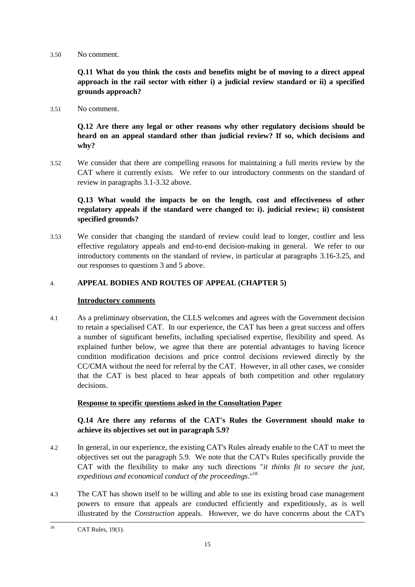3.50 No comment.

**Q.11 What do you think the costs and benefits might be of moving to a direct appeal approach in the rail sector with either i) a judicial review standard or ii) a specified grounds approach?**

3.51 No comment.

**Q.12 Are there any legal or other reasons why other regulatory decisions should be heard on an appeal standard other than judicial review? If so, which decisions and why?**

3.52 We consider that there are compelling reasons for maintaining a full merits review by the CAT where it currently exists. We refer to our introductory comments on the standard of review in paragraphs 3.1-3.32 above.

# **Q.13 What would the impacts be on the length, cost and effectiveness of other regulatory appeals if the standard were changed to: i). judicial review; ii) consistent specified grounds?**

3.53 We consider that changing the standard of review could lead to longer, costlier and less effective regulatory appeals and end-to-end decision-making in general. We refer to our introductory comments on the standard of review, in particular at paragraphs 3.16-3.25, and our responses to questions 3 and 5 above.

## 4. **APPEAL BODIES AND ROUTES OF APPEAL (CHAPTER 5)**

## **Introductory comments**

4.1 As a preliminary observation, the CLLS welcomes and agrees with the Government decision to retain a specialised CAT. In our experience, the CAT has been a great success and offers a number of significant benefits, including specialised expertise, flexibility and speed. As explained further below, we agree that there are potential advantages to having licence condition modification decisions and price control decisions reviewed directly by the CC/CMA without the need for referral by the CAT. However, in all other cases, we consider that the CAT is best placed to hear appeals of both competition and other regulatory decisions.

## **Response to specific questions asked in the Consultation Paper**

## **Q.14 Are there any reforms of the CAT's Rules the Government should make to achieve its objectives set out in paragraph 5.9?**

- 4.2 In general, in our experience, the existing CAT's Rules already enable to the CAT to meet the objectives set out the paragraph 5.9. We note that the CAT's Rules specifically provide the CAT with the flexibility to make any such directions "*it thinks fit to secure the just, expeditious and economical conduct of the proceedings*."<sup>18</sup>
- 4.3 The CAT has shown itself to be willing and able to use its existing broad case management powers to ensure that appeals are conducted efficiently and expeditiously, as is well illustrated by the *Construction* appeals. However, we do have concerns about the CAT's

<sup>18</sup> CAT Rules, 19(1).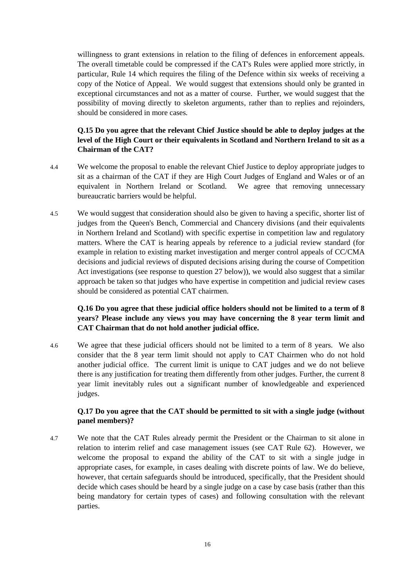willingness to grant extensions in relation to the filing of defences in enforcement appeals. The overall timetable could be compressed if the CAT's Rules were applied more strictly, in particular, Rule 14 which requires the filing of the Defence within six weeks of receiving a copy of the Notice of Appeal. We would suggest that extensions should only be granted in exceptional circumstances and not as a matter of course. Further, we would suggest that the possibility of moving directly to skeleton arguments, rather than to replies and rejoinders, should be considered in more cases.

# **Q.15 Do you agree that the relevant Chief Justice should be able to deploy judges at the level of the High Court or their equivalents in Scotland and Northern Ireland to sit as a Chairman of the CAT?**

- 4.4 We welcome the proposal to enable the relevant Chief Justice to deploy appropriate judges to sit as a chairman of the CAT if they are High Court Judges of England and Wales or of an equivalent in Northern Ireland or Scotland. We agree that removing unnecessary bureaucratic barriers would be helpful.
- 4.5 We would suggest that consideration should also be given to having a specific, shorter list of judges from the Queen's Bench, Commercial and Chancery divisions (and their equivalents in Northern Ireland and Scotland) with specific expertise in competition law and regulatory matters. Where the CAT is hearing appeals by reference to a judicial review standard (for example in relation to existing market investigation and merger control appeals of CC/CMA decisions and judicial reviews of disputed decisions arising during the course of Competition Act investigations (see response to question 27 below)), we would also suggest that a similar approach be taken so that judges who have expertise in competition and judicial review cases should be considered as potential CAT chairmen.

## **Q.16 Do you agree that these judicial office holders should not be limited to a term of 8 years? Please include any views you may have concerning the 8 year term limit and CAT Chairman that do not hold another judicial office.**

4.6 We agree that these judicial officers should not be limited to a term of 8 years. We also consider that the 8 year term limit should not apply to CAT Chairmen who do not hold another judicial office. The current limit is unique to CAT judges and we do not believe there is any justification for treating them differently from other judges. Further, the current 8 year limit inevitably rules out a significant number of knowledgeable and experienced judges.

# **Q.17 Do you agree that the CAT should be permitted to sit with a single judge (without panel members)?**

4.7 We note that the CAT Rules already permit the President or the Chairman to sit alone in relation to interim relief and case management issues (see CAT Rule 62). However, we welcome the proposal to expand the ability of the CAT to sit with a single judge in appropriate cases, for example, in cases dealing with discrete points of law. We do believe, however, that certain safeguards should be introduced, specifically, that the President should decide which cases should be heard by a single judge on a case by case basis (rather than this being mandatory for certain types of cases) and following consultation with the relevant parties.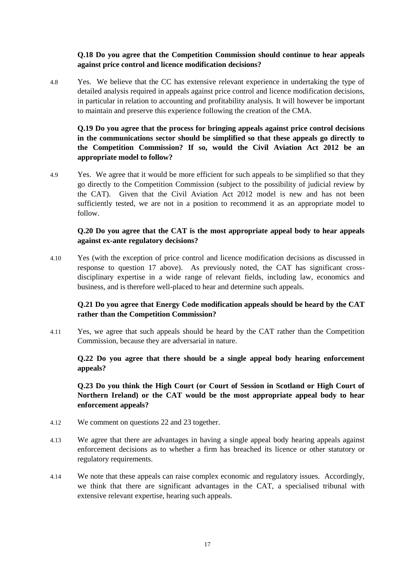## **Q.18 Do you agree that the Competition Commission should continue to hear appeals against price control and licence modification decisions?**

4.8 Yes. We believe that the CC has extensive relevant experience in undertaking the type of detailed analysis required in appeals against price control and licence modification decisions, in particular in relation to accounting and profitability analysis. It will however be important to maintain and preserve this experience following the creation of the CMA.

# **Q.19 Do you agree that the process for bringing appeals against price control decisions in the communications sector should be simplified so that these appeals go directly to the Competition Commission? If so, would the Civil Aviation Act 2012 be an appropriate model to follow?**

4.9 Yes. We agree that it would be more efficient for such appeals to be simplified so that they go directly to the Competition Commission (subject to the possibility of judicial review by the CAT). Given that the Civil Aviation Act 2012 model is new and has not been sufficiently tested, we are not in a position to recommend it as an appropriate model to follow.

#### **Q.20 Do you agree that the CAT is the most appropriate appeal body to hear appeals against ex-ante regulatory decisions?**

4.10 Yes (with the exception of price control and licence modification decisions as discussed in response to question 17 above). As previously noted, the CAT has significant crossdisciplinary expertise in a wide range of relevant fields, including law, economics and business, and is therefore well-placed to hear and determine such appeals.

# **Q.21 Do you agree that Energy Code modification appeals should be heard by the CAT rather than the Competition Commission?**

4.11 Yes, we agree that such appeals should be heard by the CAT rather than the Competition Commission, because they are adversarial in nature.

## **Q.22 Do you agree that there should be a single appeal body hearing enforcement appeals?**

**Q.23 Do you think the High Court (or Court of Session in Scotland or High Court of Northern Ireland) or the CAT would be the most appropriate appeal body to hear enforcement appeals?**

- 4.12 We comment on questions 22 and 23 together.
- 4.13 We agree that there are advantages in having a single appeal body hearing appeals against enforcement decisions as to whether a firm has breached its licence or other statutory or regulatory requirements.
- 4.14 We note that these appeals can raise complex economic and regulatory issues. Accordingly, we think that there are significant advantages in the CAT, a specialised tribunal with extensive relevant expertise, hearing such appeals.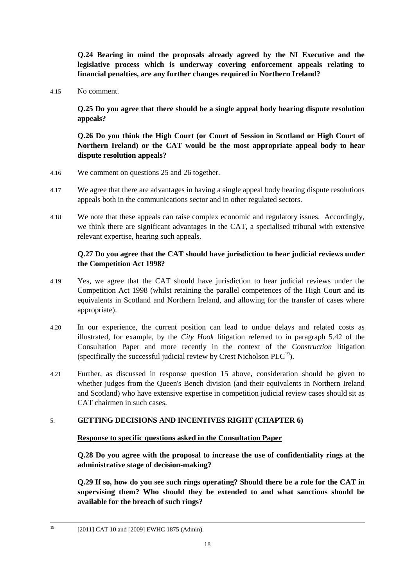**Q.24 Bearing in mind the proposals already agreed by the NI Executive and the legislative process which is underway covering enforcement appeals relating to financial penalties, are any further changes required in Northern Ireland?**

4.15 No comment.

**Q.25 Do you agree that there should be a single appeal body hearing dispute resolution appeals?**

**Q.26 Do you think the High Court (or Court of Session in Scotland or High Court of Northern Ireland) or the CAT would be the most appropriate appeal body to hear dispute resolution appeals?**

- 4.16 We comment on questions 25 and 26 together.
- 4.17 We agree that there are advantages in having a single appeal body hearing dispute resolutions appeals both in the communications sector and in other regulated sectors.
- 4.18 We note that these appeals can raise complex economic and regulatory issues. Accordingly, we think there are significant advantages in the CAT, a specialised tribunal with extensive relevant expertise, hearing such appeals.

## **Q.27 Do you agree that the CAT should have jurisdiction to hear judicial reviews under the Competition Act 1998?**

- 4.19 Yes, we agree that the CAT should have jurisdiction to hear judicial reviews under the Competition Act 1998 (whilst retaining the parallel competences of the High Court and its equivalents in Scotland and Northern Ireland, and allowing for the transfer of cases where appropriate).
- 4.20 In our experience, the current position can lead to undue delays and related costs as illustrated, for example, by the *City Hook* litigation referred to in paragraph 5.42 of the Consultation Paper and more recently in the context of the *Construction* litigation (specifically the successful judicial review by Crest Nicholson  $PLC^{19}$ ).
- 4.21 Further, as discussed in response question 15 above, consideration should be given to whether judges from the Queen's Bench division (and their equivalents in Northern Ireland and Scotland) who have extensive expertise in competition judicial review cases should sit as CAT chairmen in such cases.

## 5. **GETTING DECISIONS AND INCENTIVES RIGHT (CHAPTER 6)**

#### **Response to specific questions asked in the Consultation Paper**

**Q.28 Do you agree with the proposal to increase the use of confidentiality rings at the administrative stage of decision-making?**

**Q.29 If so, how do you see such rings operating? Should there be a role for the CAT in supervising them? Who should they be extended to and what sanctions should be available for the breach of such rings?**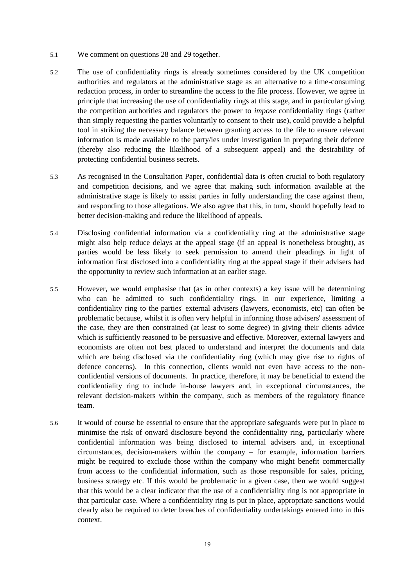- 5.1 We comment on questions 28 and 29 together.
- 5.2 The use of confidentiality rings is already sometimes considered by the UK competition authorities and regulators at the administrative stage as an alternative to a time-consuming redaction process, in order to streamline the access to the file process. However, we agree in principle that increasing the use of confidentiality rings at this stage, and in particular giving the competition authorities and regulators the power to *impose* confidentiality rings (rather than simply requesting the parties voluntarily to consent to their use), could provide a helpful tool in striking the necessary balance between granting access to the file to ensure relevant information is made available to the party/ies under investigation in preparing their defence (thereby also reducing the likelihood of a subsequent appeal) and the desirability of protecting confidential business secrets.
- 5.3 As recognised in the Consultation Paper, confidential data is often crucial to both regulatory and competition decisions, and we agree that making such information available at the administrative stage is likely to assist parties in fully understanding the case against them, and responding to those allegations. We also agree that this, in turn, should hopefully lead to better decision-making and reduce the likelihood of appeals.
- 5.4 Disclosing confidential information via a confidentiality ring at the administrative stage might also help reduce delays at the appeal stage (if an appeal is nonetheless brought), as parties would be less likely to seek permission to amend their pleadings in light of information first disclosed into a confidentiality ring at the appeal stage if their advisers had the opportunity to review such information at an earlier stage.
- 5.5 However, we would emphasise that (as in other contexts) a key issue will be determining who can be admitted to such confidentiality rings. In our experience, limiting a confidentiality ring to the parties' external advisers (lawyers, economists, etc) can often be problematic because, whilst it is often very helpful in informing those advisers' assessment of the case, they are then constrained (at least to some degree) in giving their clients advice which is sufficiently reasoned to be persuasive and effective. Moreover, external lawyers and economists are often not best placed to understand and interpret the documents and data which are being disclosed via the confidentiality ring (which may give rise to rights of defence concerns). In this connection, clients would not even have access to the nonconfidential versions of documents. In practice, therefore, it may be beneficial to extend the confidentiality ring to include in-house lawyers and, in exceptional circumstances, the relevant decision-makers within the company, such as members of the regulatory finance team.
- 5.6 It would of course be essential to ensure that the appropriate safeguards were put in place to minimise the risk of onward disclosure beyond the confidentiality ring, particularly where confidential information was being disclosed to internal advisers and, in exceptional circumstances, decision-makers within the company – for example, information barriers might be required to exclude those within the company who might benefit commercially from access to the confidential information, such as those responsible for sales, pricing, business strategy etc. If this would be problematic in a given case, then we would suggest that this would be a clear indicator that the use of a confidentiality ring is not appropriate in that particular case. Where a confidentiality ring is put in place, appropriate sanctions would clearly also be required to deter breaches of confidentiality undertakings entered into in this context.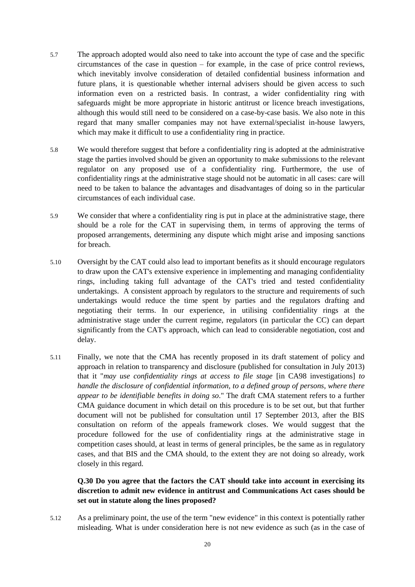- 5.7 The approach adopted would also need to take into account the type of case and the specific circumstances of the case in question – for example, in the case of price control reviews, which inevitably involve consideration of detailed confidential business information and future plans, it is questionable whether internal advisers should be given access to such information even on a restricted basis. In contrast, a wider confidentiality ring with safeguards might be more appropriate in historic antitrust or licence breach investigations, although this would still need to be considered on a case-by-case basis. We also note in this regard that many smaller companies may not have external/specialist in-house lawyers, which may make it difficult to use a confidentiality ring in practice.
- 5.8 We would therefore suggest that before a confidentiality ring is adopted at the administrative stage the parties involved should be given an opportunity to make submissions to the relevant regulator on any proposed use of a confidentiality ring. Furthermore, the use of confidentiality rings at the administrative stage should not be automatic in all cases: care will need to be taken to balance the advantages and disadvantages of doing so in the particular circumstances of each individual case.
- 5.9 We consider that where a confidentiality ring is put in place at the administrative stage, there should be a role for the CAT in supervising them, in terms of approving the terms of proposed arrangements, determining any dispute which might arise and imposing sanctions for breach.
- 5.10 Oversight by the CAT could also lead to important benefits as it should encourage regulators to draw upon the CAT's extensive experience in implementing and managing confidentiality rings, including taking full advantage of the CAT's tried and tested confidentiality undertakings. A consistent approach by regulators to the structure and requirements of such undertakings would reduce the time spent by parties and the regulators drafting and negotiating their terms. In our experience, in utilising confidentiality rings at the administrative stage under the current regime, regulators (in particular the CC) can depart significantly from the CAT's approach, which can lead to considerable negotiation, cost and delay.
- 5.11 Finally, we note that the CMA has recently proposed in its draft statement of policy and approach in relation to transparency and disclosure (published for consultation in July 2013) that it "*may use confidentiality rings at access to file stage* [in CA98 investigations] *to handle the disclosure of confidential information, to a defined group of persons, where there appear to be identifiable benefits in doing so*." The draft CMA statement refers to a further CMA guidance document in which detail on this procedure is to be set out, but that further document will not be published for consultation until 17 September 2013, after the BIS consultation on reform of the appeals framework closes. We would suggest that the procedure followed for the use of confidentiality rings at the administrative stage in competition cases should, at least in terms of general principles, be the same as in regulatory cases, and that BIS and the CMA should, to the extent they are not doing so already, work closely in this regard.

## **Q.30 Do you agree that the factors the CAT should take into account in exercising its discretion to admit new evidence in antitrust and Communications Act cases should be set out in statute along the lines proposed?**

5.12 As a preliminary point, the use of the term "new evidence" in this context is potentially rather misleading. What is under consideration here is not new evidence as such (as in the case of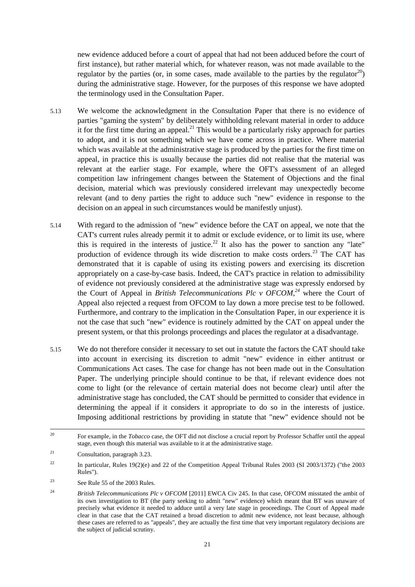new evidence adduced before a court of appeal that had not been adduced before the court of first instance), but rather material which, for whatever reason, was not made available to the regulator by the parties (or, in some cases, made available to the parties by the regulator  $^{20}$ ) during the administrative stage. However, for the purposes of this response we have adopted the terminology used in the Consultation Paper.

- 5.13 We welcome the acknowledgment in the Consultation Paper that there is no evidence of parties "gaming the system" by deliberately withholding relevant material in order to adduce it for the first time during an appeal.<sup>21</sup> This would be a particularly risky approach for parties to adopt, and it is not something which we have come across in practice. Where material which was available at the administrative stage is produced by the parties for the first time on appeal, in practice this is usually because the parties did not realise that the material was relevant at the earlier stage. For example, where the OFT's assessment of an alleged competition law infringement changes between the Statement of Objections and the final decision, material which was previously considered irrelevant may unexpectedly become relevant (and to deny parties the right to adduce such "new" evidence in response to the decision on an appeal in such circumstances would be manifestly unjust).
- 5.14 With regard to the admission of "new" evidence before the CAT on appeal, we note that the CAT's current rules already permit it to admit or exclude evidence, or to limit its use, where this is required in the interests of justice.<sup>22</sup> It also has the power to sanction any "late" production of evidence through its wide discretion to make costs orders.<sup>23</sup> The CAT has demonstrated that it is capable of using its existing powers and exercising its discretion appropriately on a case-by-case basis. Indeed, the CAT's practice in relation to admissibility of evidence not previously considered at the administrative stage was expressly endorsed by the Court of Appeal in *British Telecommunications Plc v OFCOM,<sup>24</sup>* where the Court of Appeal also rejected a request from OFCOM to lay down a more precise test to be followed. Furthermore, and contrary to the implication in the Consultation Paper, in our experience it is not the case that such "new" evidence is routinely admitted by the CAT on appeal under the present system, or that this prolongs proceedings and places the regulator at a disadvantage.
- 5.15 We do not therefore consider it necessary to set out in statute the factors the CAT should take into account in exercising its discretion to admit "new" evidence in either antitrust or Communications Act cases. The case for change has not been made out in the Consultation Paper. The underlying principle should continue to be that, if relevant evidence does not come to light (or the relevance of certain material does not become clear) until after the administrative stage has concluded, the CAT should be permitted to consider that evidence in determining the appeal if it considers it appropriate to do so in the interests of justice. Imposing additional restrictions by providing in statute that "new" evidence should not be

<sup>20</sup> <sup>20</sup> For example, in the *Tobacco* case, the OFT did not disclose a crucial report by Professor Schaffer until the appeal stage, even though this material was available to it at the administrative stage.

<sup>21</sup> Consultation, paragraph 3.23.

<sup>&</sup>lt;sup>22</sup> In particular, Rules 19(2)(e) and 22 of the Competition Appeal Tribunal Rules 2003 (SI 2003/1372) ("the 2003 Rules").

<sup>23</sup> See Rule 55 of the 2003 Rules.

<sup>24</sup> *British Telecommunications Plc v OFCOM* [2011] EWCA Civ 245. In that case, OFCOM misstated the ambit of its own investigation to BT (the party seeking to admit "new" evidence) which meant that BT was unaware of precisely what evidence it needed to adduce until a very late stage in proceedings. The Court of Appeal made clear in that case that the CAT retained a broad discretion to admit new evidence, not least because, although these cases are referred to as "appeals", they are actually the first time that very important regulatory decisions are the subject of judicial scrutiny.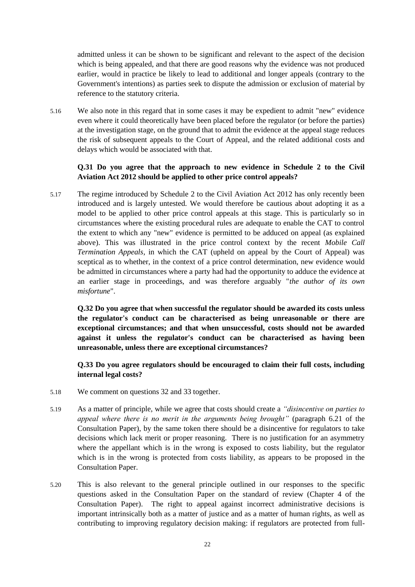admitted unless it can be shown to be significant and relevant to the aspect of the decision which is being appealed, and that there are good reasons why the evidence was not produced earlier, would in practice be likely to lead to additional and longer appeals (contrary to the Government's intentions) as parties seek to dispute the admission or exclusion of material by reference to the statutory criteria.

5.16 We also note in this regard that in some cases it may be expedient to admit "new" evidence even where it could theoretically have been placed before the regulator (or before the parties) at the investigation stage, on the ground that to admit the evidence at the appeal stage reduces the risk of subsequent appeals to the Court of Appeal, and the related additional costs and delays which would be associated with that.

#### **Q.31 Do you agree that the approach to new evidence in Schedule 2 to the Civil Aviation Act 2012 should be applied to other price control appeals?**

5.17 The regime introduced by Schedule 2 to the Civil Aviation Act 2012 has only recently been introduced and is largely untested. We would therefore be cautious about adopting it as a model to be applied to other price control appeals at this stage. This is particularly so in circumstances where the existing procedural rules are adequate to enable the CAT to control the extent to which any "new" evidence is permitted to be adduced on appeal (as explained above). This was illustrated in the price control context by the recent *Mobile Call Termination Appeals*, in which the CAT (upheld on appeal by the Court of Appeal) was sceptical as to whether, in the context of a price control determination, new evidence would be admitted in circumstances where a party had had the opportunity to adduce the evidence at an earlier stage in proceedings, and was therefore arguably "*the author of its own misfortune*".

**Q.32 Do you agree that when successful the regulator should be awarded its costs unless the regulator's conduct can be characterised as being unreasonable or there are exceptional circumstances; and that when unsuccessful, costs should not be awarded against it unless the regulator's conduct can be characterised as having been unreasonable, unless there are exceptional circumstances?**

**Q.33 Do you agree regulators should be encouraged to claim their full costs, including internal legal costs?**

- 5.18 We comment on questions 32 and 33 together.
- 5.19 As a matter of principle, while we agree that costs should create a *"disincentive on parties to appeal where there is no merit in the arguments being brought"* (paragraph 6.21 of the Consultation Paper), by the same token there should be a disincentive for regulators to take decisions which lack merit or proper reasoning. There is no justification for an asymmetry where the appellant which is in the wrong is exposed to costs liability, but the regulator which is in the wrong is protected from costs liability, as appears to be proposed in the Consultation Paper.
- 5.20 This is also relevant to the general principle outlined in our responses to the specific questions asked in the Consultation Paper on the standard of review (Chapter 4 of the Consultation Paper). The right to appeal against incorrect administrative decisions is important intrinsically both as a matter of justice and as a matter of human rights, as well as contributing to improving regulatory decision making: if regulators are protected from full-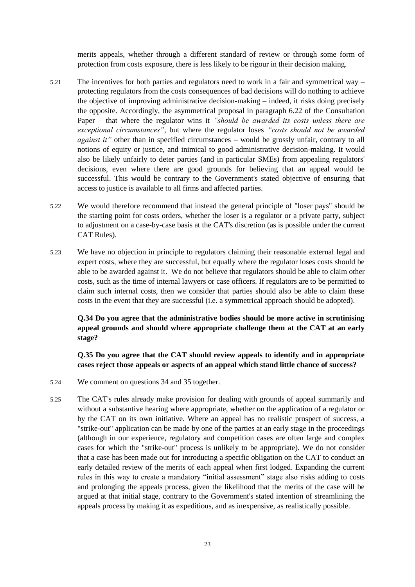merits appeals, whether through a different standard of review or through some form of protection from costs exposure, there is less likely to be rigour in their decision making.

- 5.21 The incentives for both parties and regulators need to work in a fair and symmetrical way protecting regulators from the costs consequences of bad decisions will do nothing to achieve the objective of improving administrative decision-making – indeed, it risks doing precisely the opposite. Accordingly, the asymmetrical proposal in paragraph 6.22 of the Consultation Paper – that where the regulator wins it *"should be awarded its costs unless there are exceptional circumstances"*, but where the regulator loses *"costs should not be awarded against it"* other than in specified circumstances – would be grossly unfair, contrary to all notions of equity or justice, and inimical to good administrative decision-making. It would also be likely unfairly to deter parties (and in particular SMEs) from appealing regulators' decisions, even where there are good grounds for believing that an appeal would be successful. This would be contrary to the Government's stated objective of ensuring that access to justice is available to all firms and affected parties.
- 5.22 We would therefore recommend that instead the general principle of "loser pays" should be the starting point for costs orders, whether the loser is a regulator or a private party, subject to adjustment on a case-by-case basis at the CAT's discretion (as is possible under the current CAT Rules).
- 5.23 We have no objection in principle to regulators claiming their reasonable external legal and expert costs, where they are successful, but equally where the regulator loses costs should be able to be awarded against it. We do not believe that regulators should be able to claim other costs, such as the time of internal lawyers or case officers. If regulators are to be permitted to claim such internal costs, then we consider that parties should also be able to claim these costs in the event that they are successful (i.e. a symmetrical approach should be adopted).

## **Q.34 Do you agree that the administrative bodies should be more active in scrutinising appeal grounds and should where appropriate challenge them at the CAT at an early stage?**

## **Q.35 Do you agree that the CAT should review appeals to identify and in appropriate cases reject those appeals or aspects of an appeal which stand little chance of success?**

- 5.24 We comment on questions 34 and 35 together.
- 5.25 The CAT's rules already make provision for dealing with grounds of appeal summarily and without a substantive hearing where appropriate, whether on the application of a regulator or by the CAT on its own initiative. Where an appeal has no realistic prospect of success, a "strike-out" application can be made by one of the parties at an early stage in the proceedings (although in our experience, regulatory and competition cases are often large and complex cases for which the "strike-out" process is unlikely to be appropriate). We do not consider that a case has been made out for introducing a specific obligation on the CAT to conduct an early detailed review of the merits of each appeal when first lodged. Expanding the current rules in this way to create a mandatory "initial assessment" stage also risks adding to costs and prolonging the appeals process, given the likelihood that the merits of the case will be argued at that initial stage, contrary to the Government's stated intention of streamlining the appeals process by making it as expeditious, and as inexpensive, as realistically possible.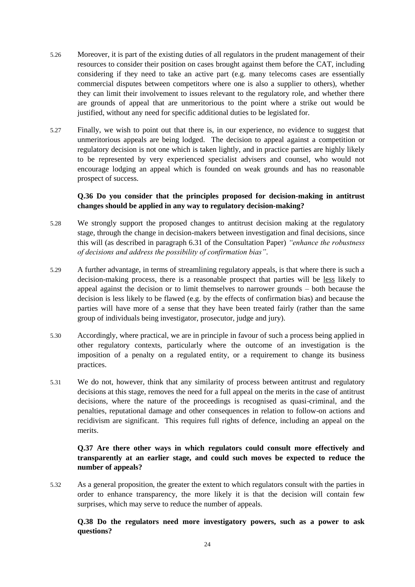- 5.26 Moreover, it is part of the existing duties of all regulators in the prudent management of their resources to consider their position on cases brought against them before the CAT, including considering if they need to take an active part (e.g. many telecoms cases are essentially commercial disputes between competitors where one is also a supplier to others), whether they can limit their involvement to issues relevant to the regulatory role, and whether there are grounds of appeal that are unmeritorious to the point where a strike out would be justified, without any need for specific additional duties to be legislated for.
- 5.27 Finally, we wish to point out that there is, in our experience, no evidence to suggest that unmeritorious appeals are being lodged. The decision to appeal against a competition or regulatory decision is not one which is taken lightly, and in practice parties are highly likely to be represented by very experienced specialist advisers and counsel, who would not encourage lodging an appeal which is founded on weak grounds and has no reasonable prospect of success.

## **Q.36 Do you consider that the principles proposed for decision-making in antitrust changes should be applied in any way to regulatory decision-making?**

- 5.28 We strongly support the proposed changes to antitrust decision making at the regulatory stage, through the change in decision-makers between investigation and final decisions, since this will (as described in paragraph 6.31 of the Consultation Paper) *"enhance the robustness of decisions and address the possibility of confirmation bias"*.
- 5.29 A further advantage, in terms of streamlining regulatory appeals, is that where there is such a decision-making process, there is a reasonable prospect that parties will be less likely to appeal against the decision or to limit themselves to narrower grounds – both because the decision is less likely to be flawed (e.g. by the effects of confirmation bias) and because the parties will have more of a sense that they have been treated fairly (rather than the same group of individuals being investigator, prosecutor, judge and jury).
- 5.30 Accordingly, where practical, we are in principle in favour of such a process being applied in other regulatory contexts, particularly where the outcome of an investigation is the imposition of a penalty on a regulated entity, or a requirement to change its business practices.
- 5.31 We do not, however, think that any similarity of process between antitrust and regulatory decisions at this stage, removes the need for a full appeal on the merits in the case of antitrust decisions, where the nature of the proceedings is recognised as quasi-criminal, and the penalties, reputational damage and other consequences in relation to follow-on actions and recidivism are significant. This requires full rights of defence, including an appeal on the merits.

## **Q.37 Are there other ways in which regulators could consult more effectively and transparently at an earlier stage, and could such moves be expected to reduce the number of appeals?**

5.32 As a general proposition, the greater the extent to which regulators consult with the parties in order to enhance transparency, the more likely it is that the decision will contain few surprises, which may serve to reduce the number of appeals.

## **Q.38 Do the regulators need more investigatory powers, such as a power to ask questions?**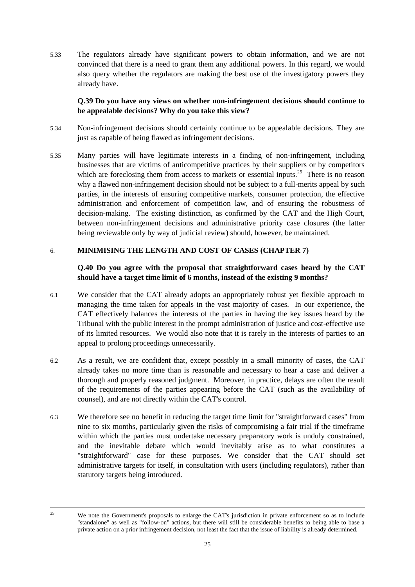5.33 The regulators already have significant powers to obtain information, and we are not convinced that there is a need to grant them any additional powers. In this regard, we would also query whether the regulators are making the best use of the investigatory powers they already have.

## **Q.39 Do you have any views on whether non-infringement decisions should continue to be appealable decisions? Why do you take this view?**

- 5.34 Non-infringement decisions should certainly continue to be appealable decisions. They are just as capable of being flawed as infringement decisions.
- 5.35 Many parties will have legitimate interests in a finding of non-infringement, including businesses that are victims of anticompetitive practices by their suppliers or by competitors which are foreclosing them from access to markets or essential inputs.<sup>25</sup> There is no reason why a flawed non-infringement decision should not be subject to a full-merits appeal by such parties, in the interests of ensuring competitive markets, consumer protection, the effective administration and enforcement of competition law, and of ensuring the robustness of decision-making. The existing distinction, as confirmed by the CAT and the High Court, between non-infringement decisions and administrative priority case closures (the latter being reviewable only by way of judicial review) should, however, be maintained.

#### 6. **MINIMISING THE LENGTH AND COST OF CASES (CHAPTER 7)**

#### **Q.40 Do you agree with the proposal that straightforward cases heard by the CAT should have a target time limit of 6 months, instead of the existing 9 months?**

- 6.1 We consider that the CAT already adopts an appropriately robust yet flexible approach to managing the time taken for appeals in the vast majority of cases. In our experience, the CAT effectively balances the interests of the parties in having the key issues heard by the Tribunal with the public interest in the prompt administration of justice and cost-effective use of its limited resources. We would also note that it is rarely in the interests of parties to an appeal to prolong proceedings unnecessarily.
- 6.2 As a result, we are confident that, except possibly in a small minority of cases, the CAT already takes no more time than is reasonable and necessary to hear a case and deliver a thorough and properly reasoned judgment. Moreover, in practice, delays are often the result of the requirements of the parties appearing before the CAT (such as the availability of counsel), and are not directly within the CAT's control.
- 6.3 We therefore see no benefit in reducing the target time limit for "straightforward cases" from nine to six months, particularly given the risks of compromising a fair trial if the timeframe within which the parties must undertake necessary preparatory work is unduly constrained, and the inevitable debate which would inevitably arise as to what constitutes a "straightforward" case for these purposes. We consider that the CAT should set administrative targets for itself, in consultation with users (including regulators), rather than statutory targets being introduced.

<sup>25</sup> 

We note the Government's proposals to enlarge the CAT's jurisdiction in private enforcement so as to include "standalone" as well as "follow-on" actions, but there will still be considerable benefits to being able to base a private action on a prior infringement decision, not least the fact that the issue of liability is already determined.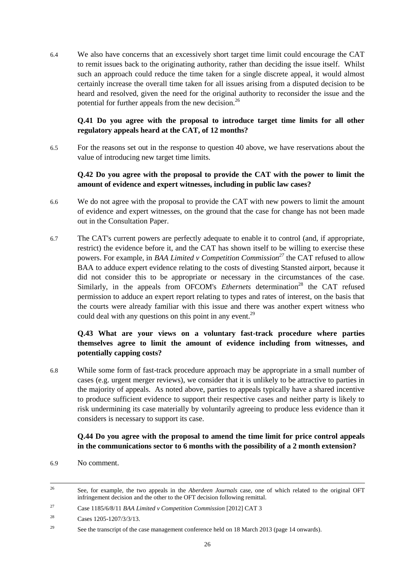6.4 We also have concerns that an excessively short target time limit could encourage the CAT to remit issues back to the originating authority, rather than deciding the issue itself. Whilst such an approach could reduce the time taken for a single discrete appeal, it would almost certainly increase the overall time taken for all issues arising from a disputed decision to be heard and resolved, given the need for the original authority to reconsider the issue and the potential for further appeals from the new decision.<sup>26</sup>

## **Q.41 Do you agree with the proposal to introduce target time limits for all other regulatory appeals heard at the CAT, of 12 months?**

6.5 For the reasons set out in the response to question 40 above, we have reservations about the value of introducing new target time limits.

## **Q.42 Do you agree with the proposal to provide the CAT with the power to limit the amount of evidence and expert witnesses, including in public law cases?**

- 6.6 We do not agree with the proposal to provide the CAT with new powers to limit the amount of evidence and expert witnesses, on the ground that the case for change has not been made out in the Consultation Paper.
- 6.7 The CAT's current powers are perfectly adequate to enable it to control (and, if appropriate, restrict) the evidence before it, and the CAT has shown itself to be willing to exercise these powers. For example, in *BAA Limited v Competition Commission<sup>27</sup>* the CAT refused to allow BAA to adduce expert evidence relating to the costs of divesting Stansted airport, because it did not consider this to be appropriate or necessary in the circumstances of the case. Similarly, in the appeals from OFCOM's *Ethernets* determination<sup>28</sup> the CAT refused permission to adduce an expert report relating to types and rates of interest, on the basis that the courts were already familiar with this issue and there was another expert witness who could deal with any questions on this point in any event.<sup>29</sup>

# **Q.43 What are your views on a voluntary fast-track procedure where parties themselves agree to limit the amount of evidence including from witnesses, and potentially capping costs?**

6.8 While some form of fast-track procedure approach may be appropriate in a small number of cases (e.g. urgent merger reviews), we consider that it is unlikely to be attractive to parties in the majority of appeals. As noted above, parties to appeals typically have a shared incentive to produce sufficient evidence to support their respective cases and neither party is likely to risk undermining its case materially by voluntarily agreeing to produce less evidence than it considers is necessary to support its case.

## **Q.44 Do you agree with the proposal to amend the time limit for price control appeals in the communications sector to 6 months with the possibility of a 2 month extension?**

6.9 No comment.

-

<sup>&</sup>lt;sup>26</sup> See, for example, the two appeals in the *Aberdeen Journals* case, one of which related to the original OFT infringement decision and the other to the OFT decision following remittal.

<sup>27</sup> Case 1185/6/8/11 *BAA Limited v Competition Commission* [2012] CAT 3

<sup>28</sup> Cases 1205-1207/3/3/13.

<sup>&</sup>lt;sup>29</sup> See the transcript of the case management conference held on 18 March 2013 (page 14 onwards).